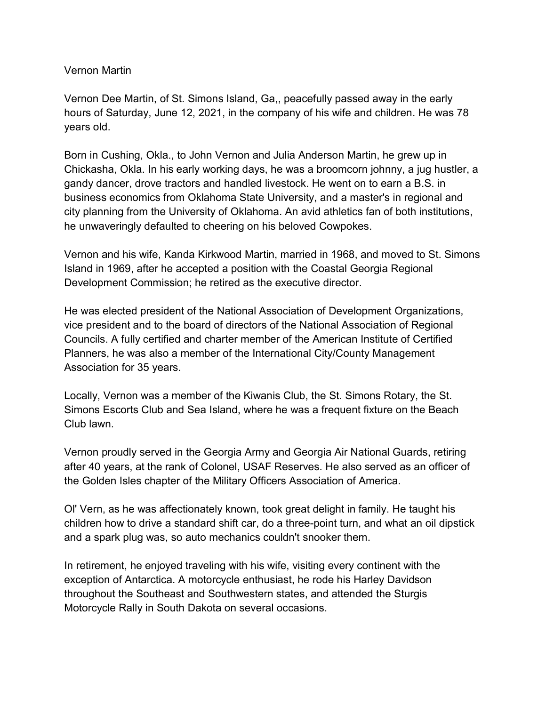## Vernon Martin

Vernon Dee Martin, of St. Simons Island, Ga,, peacefully passed away in the early hours of Saturday, June 12, 2021, in the company of his wife and children. He was 78 years old.

Born in Cushing, Okla., to John Vernon and Julia Anderson Martin, he grew up in Chickasha, Okla. In his early working days, he was a broomcorn johnny, a jug hustler, a gandy dancer, drove tractors and handled livestock. He went on to earn a B.S. in business economics from Oklahoma State University, and a master's in regional and city planning from the University of Oklahoma. An avid athletics fan of both institutions, he unwaveringly defaulted to cheering on his beloved Cowpokes.

Vernon and his wife, Kanda Kirkwood Martin, married in 1968, and moved to St. Simons Island in 1969, after he accepted a position with the Coastal Georgia Regional Development Commission; he retired as the executive director.

He was elected president of the National Association of Development Organizations, vice president and to the board of directors of the National Association of Regional Councils. A fully certified and charter member of the American Institute of Certified Planners, he was also a member of the International City/County Management Association for 35 years.

Locally, Vernon was a member of the Kiwanis Club, the St. Simons Rotary, the St. Simons Escorts Club and Sea Island, where he was a frequent fixture on the Beach Club lawn.

Vernon proudly served in the Georgia Army and Georgia Air National Guards, retiring after 40 years, at the rank of Colonel, USAF Reserves. He also served as an officer of the Golden Isles chapter of the Military Officers Association of America.

Ol' Vern, as he was affectionately known, took great delight in family. He taught his children how to drive a standard shift car, do a three-point turn, and what an oil dipstick and a spark plug was, so auto mechanics couldn't snooker them.

In retirement, he enjoyed traveling with his wife, visiting every continent with the exception of Antarctica. A motorcycle enthusiast, he rode his Harley Davidson throughout the Southeast and Southwestern states, and attended the Sturgis Motorcycle Rally in South Dakota on several occasions.